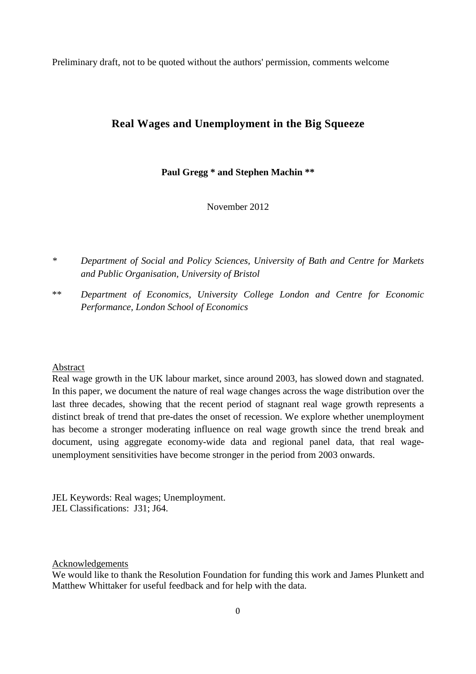Preliminary draft, not to be quoted without the authors' permission, comments welcome

## **Real Wages and Unemployment in the Big Squeeze**

### **Paul Gregg \* and Stephen Machin \*\***

November 2012

*\* Department of Social and Policy Sciences, University of Bath and Centre for Markets and Public Organisation, University of Bristol* 

\*\* *Department of Economics, University College London and Centre for Economic Performance, London School of Economics* 

#### Abstract

Real wage growth in the UK labour market, since around 2003, has slowed down and stagnated. In this paper, we document the nature of real wage changes across the wage distribution over the last three decades, showing that the recent period of stagnant real wage growth represents a distinct break of trend that pre-dates the onset of recession. We explore whether unemployment has become a stronger moderating influence on real wage growth since the trend break and document, using aggregate economy-wide data and regional panel data, that real wageunemployment sensitivities have become stronger in the period from 2003 onwards.

JEL Keywords: Real wages; Unemployment. JEL Classifications: J31; J64.

Acknowledgements

We would like to thank the Resolution Foundation for funding this work and James Plunkett and Matthew Whittaker for useful feedback and for help with the data.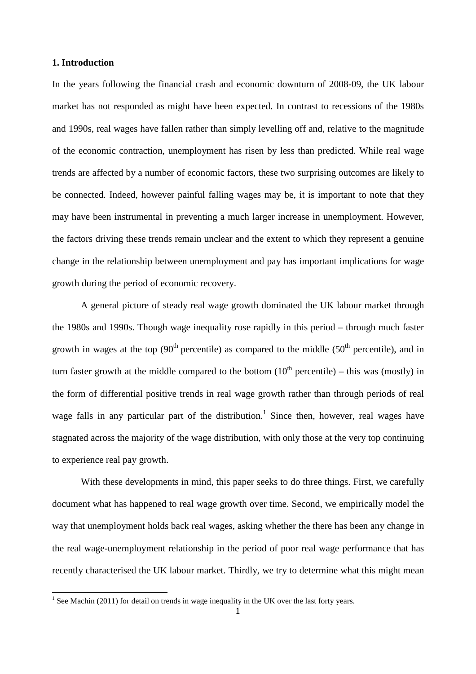#### **1. Introduction**

In the years following the financial crash and economic downturn of 2008-09, the UK labour market has not responded as might have been expected. In contrast to recessions of the 1980s and 1990s, real wages have fallen rather than simply levelling off and, relative to the magnitude of the economic contraction, unemployment has risen by less than predicted. While real wage trends are affected by a number of economic factors, these two surprising outcomes are likely to be connected. Indeed, however painful falling wages may be, it is important to note that they may have been instrumental in preventing a much larger increase in unemployment. However, the factors driving these trends remain unclear and the extent to which they represent a genuine change in the relationship between unemployment and pay has important implications for wage growth during the period of economic recovery.

A general picture of steady real wage growth dominated the UK labour market through the 1980s and 1990s. Though wage inequality rose rapidly in this period – through much faster growth in wages at the top  $(90<sup>th</sup>$  percentile) as compared to the middle  $(50<sup>th</sup>$  percentile), and in turn faster growth at the middle compared to the bottom  $(10<sup>th</sup>$  percentile) – this was (mostly) in the form of differential positive trends in real wage growth rather than through periods of real wage falls in any particular part of the distribution.<sup>1</sup> Since then, however, real wages have stagnated across the majority of the wage distribution, with only those at the very top continuing to experience real pay growth.

With these developments in mind, this paper seeks to do three things. First, we carefully document what has happened to real wage growth over time. Second, we empirically model the way that unemployment holds back real wages, asking whether the there has been any change in the real wage-unemployment relationship in the period of poor real wage performance that has recently characterised the UK labour market. Thirdly, we try to determine what this might mean

<sup>&</sup>lt;sup>1</sup> See Machin (2011) for detail on trends in wage inequality in the UK over the last forty years.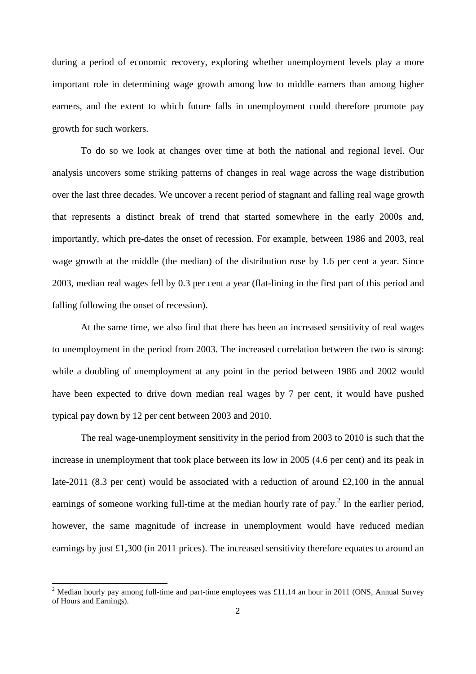during a period of economic recovery, exploring whether unemployment levels play a more important role in determining wage growth among low to middle earners than among higher earners, and the extent to which future falls in unemployment could therefore promote pay growth for such workers.

To do so we look at changes over time at both the national and regional level. Our analysis uncovers some striking patterns of changes in real wage across the wage distribution over the last three decades. We uncover a recent period of stagnant and falling real wage growth that represents a distinct break of trend that started somewhere in the early 2000s and, importantly, which pre-dates the onset of recession. For example, between 1986 and 2003, real wage growth at the middle (the median) of the distribution rose by 1.6 per cent a year. Since 2003, median real wages fell by 0.3 per cent a year (flat-lining in the first part of this period and falling following the onset of recession).

At the same time, we also find that there has been an increased sensitivity of real wages to unemployment in the period from 2003. The increased correlation between the two is strong: while a doubling of unemployment at any point in the period between 1986 and 2002 would have been expected to drive down median real wages by 7 per cent, it would have pushed typical pay down by 12 per cent between 2003 and 2010.

The real wage-unemployment sensitivity in the period from 2003 to 2010 is such that the increase in unemployment that took place between its low in 2005 (4.6 per cent) and its peak in late-2011 (8.3 per cent) would be associated with a reduction of around  $\text{\pounds}2,100$  in the annual earnings of someone working full-time at the median hourly rate of pay.<sup>2</sup> In the earlier period, however, the same magnitude of increase in unemployment would have reduced median earnings by just £1,300 (in 2011 prices). The increased sensitivity therefore equates to around an

 $\overline{a}$ 

<sup>&</sup>lt;sup>2</sup> Median hourly pay among full-time and part-time employees was £11.14 an hour in 2011 (ONS, Annual Survey of Hours and Earnings).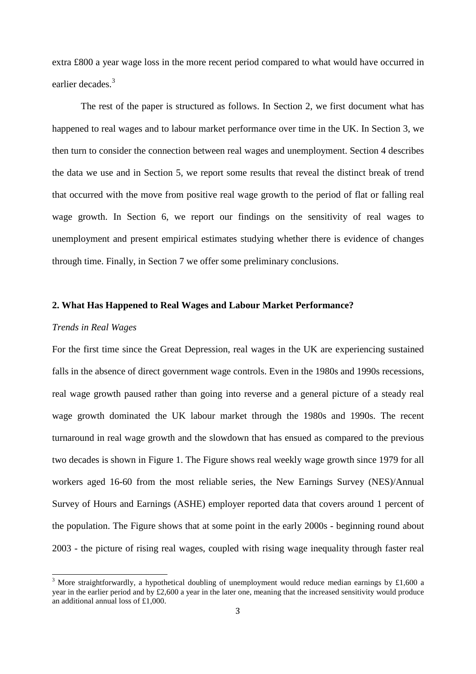extra £800 a year wage loss in the more recent period compared to what would have occurred in earlier decades.<sup>3</sup>

The rest of the paper is structured as follows. In Section 2, we first document what has happened to real wages and to labour market performance over time in the UK. In Section 3, we then turn to consider the connection between real wages and unemployment. Section 4 describes the data we use and in Section 5, we report some results that reveal the distinct break of trend that occurred with the move from positive real wage growth to the period of flat or falling real wage growth. In Section 6, we report our findings on the sensitivity of real wages to unemployment and present empirical estimates studying whether there is evidence of changes through time. Finally, in Section 7 we offer some preliminary conclusions.

## **2. What Has Happened to Real Wages and Labour Market Performance?**

#### *Trends in Real Wages*

For the first time since the Great Depression, real wages in the UK are experiencing sustained falls in the absence of direct government wage controls. Even in the 1980s and 1990s recessions, real wage growth paused rather than going into reverse and a general picture of a steady real wage growth dominated the UK labour market through the 1980s and 1990s. The recent turnaround in real wage growth and the slowdown that has ensued as compared to the previous two decades is shown in Figure 1. The Figure shows real weekly wage growth since 1979 for all workers aged 16-60 from the most reliable series, the New Earnings Survey (NES)/Annual Survey of Hours and Earnings (ASHE) employer reported data that covers around 1 percent of the population. The Figure shows that at some point in the early 2000s - beginning round about 2003 - the picture of rising real wages, coupled with rising wage inequality through faster real

<sup>&</sup>lt;sup>3</sup> More straightforwardly, a hypothetical doubling of unemployment would reduce median earnings by £1,600 a year in the earlier period and by £2,600 a year in the later one, meaning that the increased sensitivity would produce an additional annual loss of £1,000.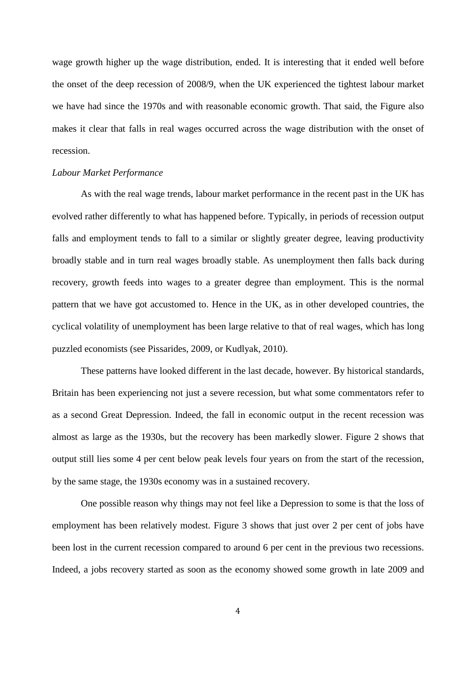wage growth higher up the wage distribution, ended. It is interesting that it ended well before the onset of the deep recession of 2008/9, when the UK experienced the tightest labour market we have had since the 1970s and with reasonable economic growth. That said, the Figure also makes it clear that falls in real wages occurred across the wage distribution with the onset of recession.

#### *Labour Market Performance*

As with the real wage trends, labour market performance in the recent past in the UK has evolved rather differently to what has happened before. Typically, in periods of recession output falls and employment tends to fall to a similar or slightly greater degree, leaving productivity broadly stable and in turn real wages broadly stable. As unemployment then falls back during recovery, growth feeds into wages to a greater degree than employment. This is the normal pattern that we have got accustomed to. Hence in the UK, as in other developed countries, the cyclical volatility of unemployment has been large relative to that of real wages, which has long puzzled economists (see Pissarides, 2009, or Kudlyak, 2010).

These patterns have looked different in the last decade, however. By historical standards, Britain has been experiencing not just a severe recession, but what some commentators refer to as a second Great Depression. Indeed, the fall in economic output in the recent recession was almost as large as the 1930s, but the recovery has been markedly slower. Figure 2 shows that output still lies some 4 per cent below peak levels four years on from the start of the recession, by the same stage, the 1930s economy was in a sustained recovery.

One possible reason why things may not feel like a Depression to some is that the loss of employment has been relatively modest. Figure 3 shows that just over 2 per cent of jobs have been lost in the current recession compared to around 6 per cent in the previous two recessions. Indeed, a jobs recovery started as soon as the economy showed some growth in late 2009 and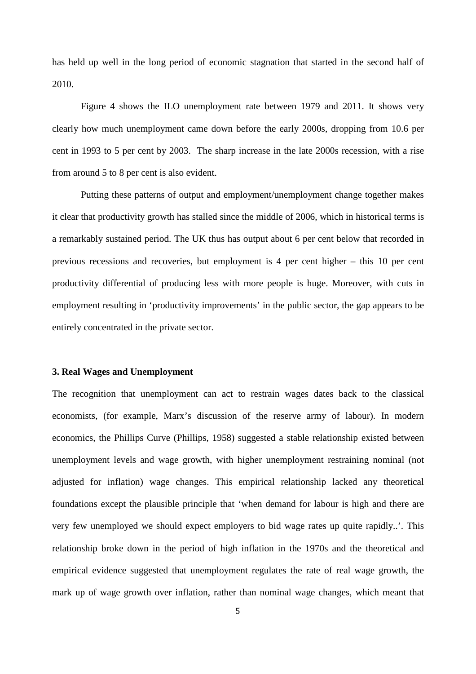has held up well in the long period of economic stagnation that started in the second half of 2010.

Figure 4 shows the ILO unemployment rate between 1979 and 2011. It shows very clearly how much unemployment came down before the early 2000s, dropping from 10.6 per cent in 1993 to 5 per cent by 2003. The sharp increase in the late 2000s recession, with a rise from around 5 to 8 per cent is also evident.

Putting these patterns of output and employment/unemployment change together makes it clear that productivity growth has stalled since the middle of 2006, which in historical terms is a remarkably sustained period. The UK thus has output about 6 per cent below that recorded in previous recessions and recoveries, but employment is 4 per cent higher – this 10 per cent productivity differential of producing less with more people is huge. Moreover, with cuts in employment resulting in 'productivity improvements' in the public sector, the gap appears to be entirely concentrated in the private sector.

#### **3. Real Wages and Unemployment**

The recognition that unemployment can act to restrain wages dates back to the classical economists, (for example, Marx's discussion of the reserve army of labour). In modern economics, the Phillips Curve (Phillips, 1958) suggested a stable relationship existed between unemployment levels and wage growth, with higher unemployment restraining nominal (not adjusted for inflation) wage changes. This empirical relationship lacked any theoretical foundations except the plausible principle that 'when demand for labour is high and there are very few unemployed we should expect employers to bid wage rates up quite rapidly..'. This relationship broke down in the period of high inflation in the 1970s and the theoretical and empirical evidence suggested that unemployment regulates the rate of real wage growth, the mark up of wage growth over inflation, rather than nominal wage changes, which meant that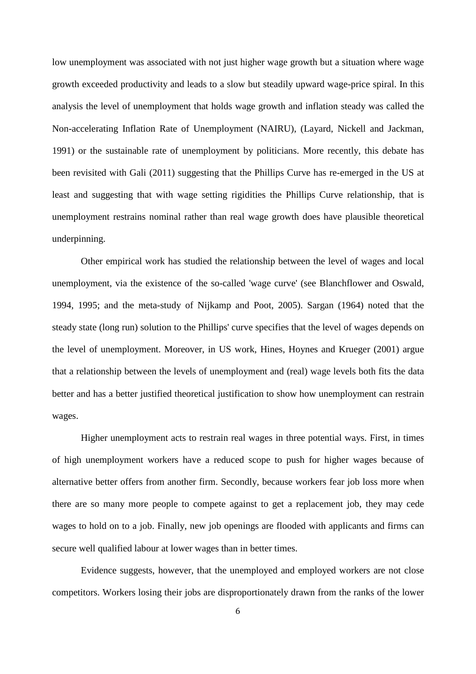low unemployment was associated with not just higher wage growth but a situation where wage growth exceeded productivity and leads to a slow but steadily upward wage-price spiral. In this analysis the level of unemployment that holds wage growth and inflation steady was called the Non-accelerating Inflation Rate of Unemployment (NAIRU), (Layard, Nickell and Jackman, 1991) or the sustainable rate of unemployment by politicians. More recently, this debate has been revisited with Gali (2011) suggesting that the Phillips Curve has re-emerged in the US at least and suggesting that with wage setting rigidities the Phillips Curve relationship, that is unemployment restrains nominal rather than real wage growth does have plausible theoretical underpinning.

 Other empirical work has studied the relationship between the level of wages and local unemployment, via the existence of the so-called 'wage curve' (see Blanchflower and Oswald, 1994, 1995; and the meta-study of Nijkamp and Poot, 2005). Sargan (1964) noted that the steady state (long run) solution to the Phillips' curve specifies that the level of wages depends on the level of unemployment. Moreover, in US work, Hines, Hoynes and Krueger (2001) argue that a relationship between the levels of unemployment and (real) wage levels both fits the data better and has a better justified theoretical justification to show how unemployment can restrain wages.

 Higher unemployment acts to restrain real wages in three potential ways. First, in times of high unemployment workers have a reduced scope to push for higher wages because of alternative better offers from another firm. Secondly, because workers fear job loss more when there are so many more people to compete against to get a replacement job, they may cede wages to hold on to a job. Finally, new job openings are flooded with applicants and firms can secure well qualified labour at lower wages than in better times.

Evidence suggests, however, that the unemployed and employed workers are not close competitors. Workers losing their jobs are disproportionately drawn from the ranks of the lower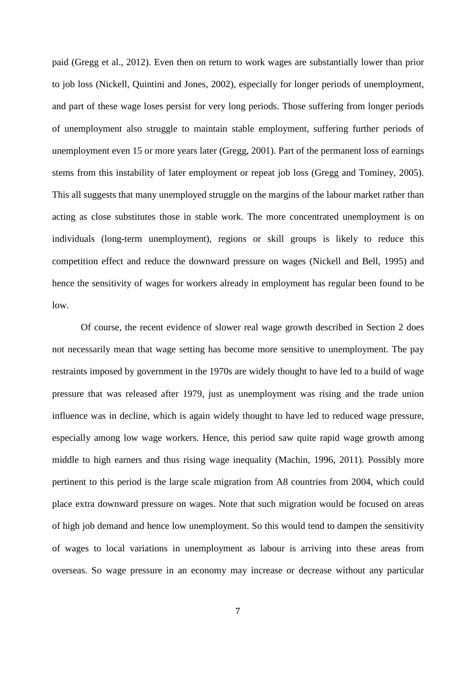paid (Gregg et al., 2012). Even then on return to work wages are substantially lower than prior to job loss (Nickell, Quintini and Jones, 2002), especially for longer periods of unemployment, and part of these wage loses persist for very long periods. Those suffering from longer periods of unemployment also struggle to maintain stable employment, suffering further periods of unemployment even 15 or more years later (Gregg, 2001). Part of the permanent loss of earnings stems from this instability of later employment or repeat job loss (Gregg and Tominey, 2005). This all suggests that many unemployed struggle on the margins of the labour market rather than acting as close substitutes those in stable work. The more concentrated unemployment is on individuals (long-term unemployment), regions or skill groups is likely to reduce this competition effect and reduce the downward pressure on wages (Nickell and Bell, 1995) and hence the sensitivity of wages for workers already in employment has regular been found to be low.

 Of course, the recent evidence of slower real wage growth described in Section 2 does not necessarily mean that wage setting has become more sensitive to unemployment. The pay restraints imposed by government in the 1970s are widely thought to have led to a build of wage pressure that was released after 1979, just as unemployment was rising and the trade union influence was in decline, which is again widely thought to have led to reduced wage pressure, especially among low wage workers. Hence, this period saw quite rapid wage growth among middle to high earners and thus rising wage inequality (Machin, 1996, 2011). Possibly more pertinent to this period is the large scale migration from A8 countries from 2004, which could place extra downward pressure on wages. Note that such migration would be focused on areas of high job demand and hence low unemployment. So this would tend to dampen the sensitivity of wages to local variations in unemployment as labour is arriving into these areas from overseas. So wage pressure in an economy may increase or decrease without any particular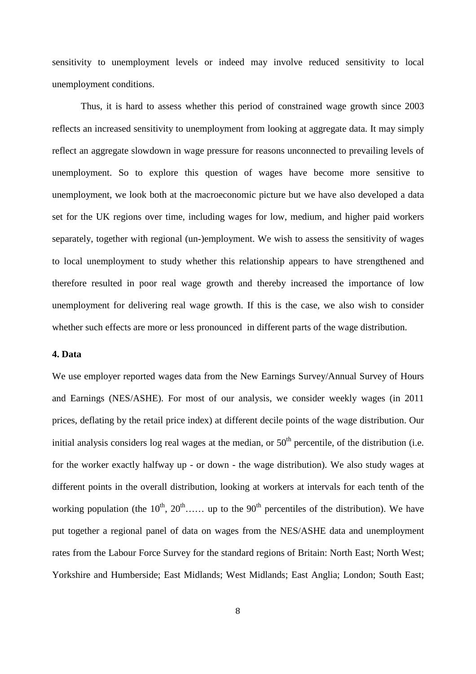sensitivity to unemployment levels or indeed may involve reduced sensitivity to local unemployment conditions.

 Thus, it is hard to assess whether this period of constrained wage growth since 2003 reflects an increased sensitivity to unemployment from looking at aggregate data. It may simply reflect an aggregate slowdown in wage pressure for reasons unconnected to prevailing levels of unemployment. So to explore this question of wages have become more sensitive to unemployment, we look both at the macroeconomic picture but we have also developed a data set for the UK regions over time, including wages for low, medium, and higher paid workers separately, together with regional (un-)employment. We wish to assess the sensitivity of wages to local unemployment to study whether this relationship appears to have strengthened and therefore resulted in poor real wage growth and thereby increased the importance of low unemployment for delivering real wage growth. If this is the case, we also wish to consider whether such effects are more or less pronounced in different parts of the wage distribution.

#### **4. Data**

We use employer reported wages data from the New Earnings Survey/Annual Survey of Hours and Earnings (NES/ASHE). For most of our analysis, we consider weekly wages (in 2011 prices, deflating by the retail price index) at different decile points of the wage distribution. Our initial analysis considers log real wages at the median, or  $50<sup>th</sup>$  percentile, of the distribution (i.e. for the worker exactly halfway up - or down - the wage distribution). We also study wages at different points in the overall distribution, looking at workers at intervals for each tenth of the working population (the  $10^{th}$ ,  $20^{th}$ …… up to the  $90^{th}$  percentiles of the distribution). We have put together a regional panel of data on wages from the NES/ASHE data and unemployment rates from the Labour Force Survey for the standard regions of Britain: North East; North West; Yorkshire and Humberside; East Midlands; West Midlands; East Anglia; London; South East;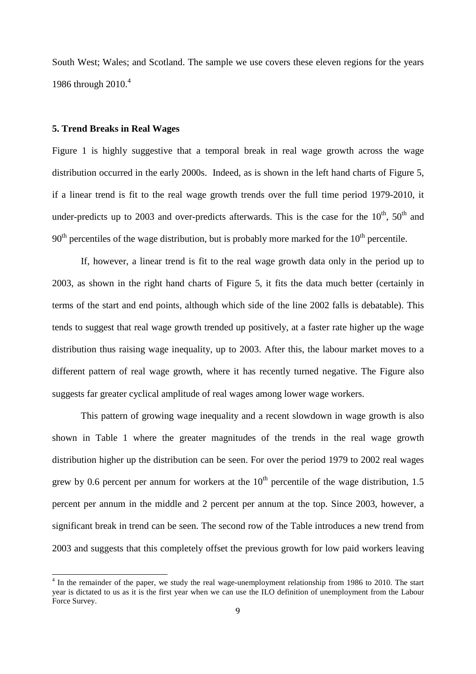South West; Wales; and Scotland. The sample we use covers these eleven regions for the years 1986 through 2010.<sup>4</sup>

#### **5. Trend Breaks in Real Wages**

Figure 1 is highly suggestive that a temporal break in real wage growth across the wage distribution occurred in the early 2000s. Indeed, as is shown in the left hand charts of Figure 5, if a linear trend is fit to the real wage growth trends over the full time period 1979-2010, it under-predicts up to 2003 and over-predicts afterwards. This is the case for the  $10^{th}$ ,  $50^{th}$  and  $90<sup>th</sup>$  percentiles of the wage distribution, but is probably more marked for the  $10<sup>th</sup>$  percentile.

 If, however, a linear trend is fit to the real wage growth data only in the period up to 2003, as shown in the right hand charts of Figure 5, it fits the data much better (certainly in terms of the start and end points, although which side of the line 2002 falls is debatable). This tends to suggest that real wage growth trended up positively, at a faster rate higher up the wage distribution thus raising wage inequality, up to 2003. After this, the labour market moves to a different pattern of real wage growth, where it has recently turned negative. The Figure also suggests far greater cyclical amplitude of real wages among lower wage workers.

 This pattern of growing wage inequality and a recent slowdown in wage growth is also shown in Table 1 where the greater magnitudes of the trends in the real wage growth distribution higher up the distribution can be seen. For over the period 1979 to 2002 real wages grew by 0.6 percent per annum for workers at the  $10<sup>th</sup>$  percentile of the wage distribution, 1.5 percent per annum in the middle and 2 percent per annum at the top. Since 2003, however, a significant break in trend can be seen. The second row of the Table introduces a new trend from 2003 and suggests that this completely offset the previous growth for low paid workers leaving

<sup>&</sup>lt;sup>4</sup> In the remainder of the paper, we study the real wage-unemployment relationship from 1986 to 2010. The start year is dictated to us as it is the first year when we can use the ILO definition of unemployment from the Labour Force Survey.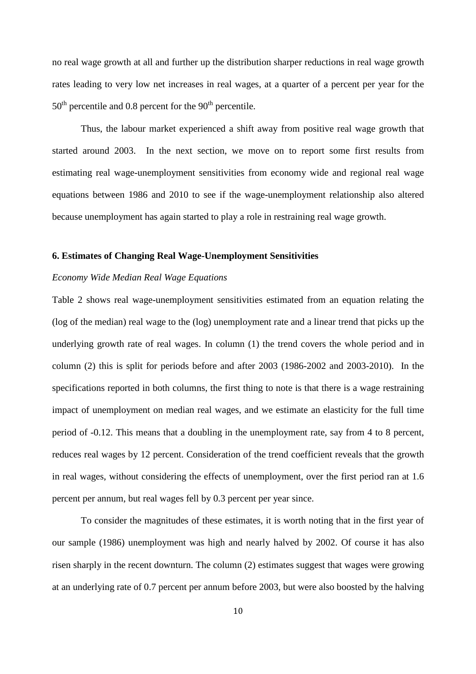no real wage growth at all and further up the distribution sharper reductions in real wage growth rates leading to very low net increases in real wages, at a quarter of a percent per year for the  $50<sup>th</sup>$  percentile and 0.8 percent for the  $90<sup>th</sup>$  percentile.

 Thus, the labour market experienced a shift away from positive real wage growth that started around 2003. In the next section, we move on to report some first results from estimating real wage-unemployment sensitivities from economy wide and regional real wage equations between 1986 and 2010 to see if the wage-unemployment relationship also altered because unemployment has again started to play a role in restraining real wage growth.

#### **6. Estimates of Changing Real Wage-Unemployment Sensitivities**

#### *Economy Wide Median Real Wage Equations*

Table 2 shows real wage-unemployment sensitivities estimated from an equation relating the (log of the median) real wage to the (log) unemployment rate and a linear trend that picks up the underlying growth rate of real wages. In column (1) the trend covers the whole period and in column (2) this is split for periods before and after 2003 (1986-2002 and 2003-2010). In the specifications reported in both columns, the first thing to note is that there is a wage restraining impact of unemployment on median real wages, and we estimate an elasticity for the full time period of -0.12. This means that a doubling in the unemployment rate, say from 4 to 8 percent, reduces real wages by 12 percent. Consideration of the trend coefficient reveals that the growth in real wages, without considering the effects of unemployment, over the first period ran at 1.6 percent per annum, but real wages fell by 0.3 percent per year since.

To consider the magnitudes of these estimates, it is worth noting that in the first year of our sample (1986) unemployment was high and nearly halved by 2002. Of course it has also risen sharply in the recent downturn. The column (2) estimates suggest that wages were growing at an underlying rate of 0.7 percent per annum before 2003, but were also boosted by the halving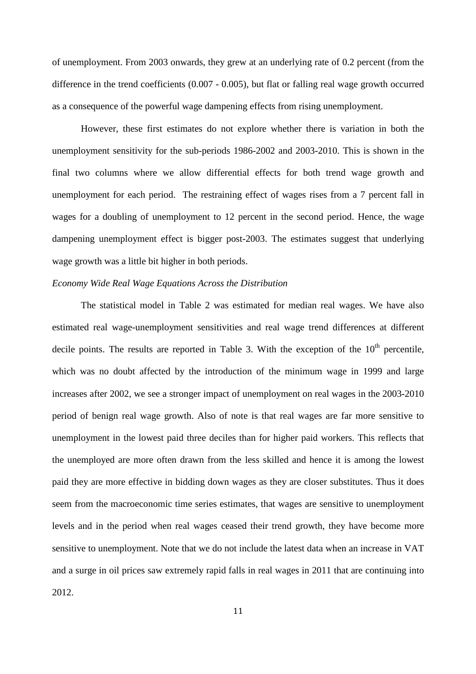of unemployment. From 2003 onwards, they grew at an underlying rate of 0.2 percent (from the difference in the trend coefficients (0.007 - 0.005), but flat or falling real wage growth occurred as a consequence of the powerful wage dampening effects from rising unemployment.

 However, these first estimates do not explore whether there is variation in both the unemployment sensitivity for the sub-periods 1986-2002 and 2003-2010. This is shown in the final two columns where we allow differential effects for both trend wage growth and unemployment for each period. The restraining effect of wages rises from a 7 percent fall in wages for a doubling of unemployment to 12 percent in the second period. Hence, the wage dampening unemployment effect is bigger post-2003. The estimates suggest that underlying wage growth was a little bit higher in both periods.

#### *Economy Wide Real Wage Equations Across the Distribution*

The statistical model in Table 2 was estimated for median real wages. We have also estimated real wage-unemployment sensitivities and real wage trend differences at different decile points. The results are reported in Table 3. With the exception of the  $10<sup>th</sup>$  percentile, which was no doubt affected by the introduction of the minimum wage in 1999 and large increases after 2002, we see a stronger impact of unemployment on real wages in the 2003-2010 period of benign real wage growth. Also of note is that real wages are far more sensitive to unemployment in the lowest paid three deciles than for higher paid workers. This reflects that the unemployed are more often drawn from the less skilled and hence it is among the lowest paid they are more effective in bidding down wages as they are closer substitutes. Thus it does seem from the macroeconomic time series estimates, that wages are sensitive to unemployment levels and in the period when real wages ceased their trend growth, they have become more sensitive to unemployment. Note that we do not include the latest data when an increase in VAT and a surge in oil prices saw extremely rapid falls in real wages in 2011 that are continuing into 2012.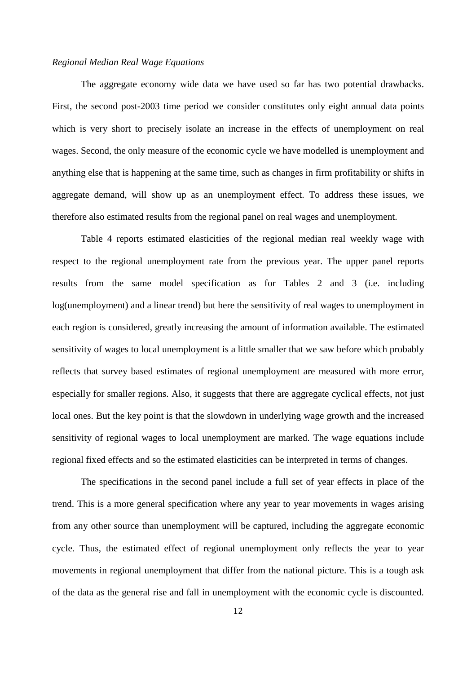#### *Regional Median Real Wage Equations*

The aggregate economy wide data we have used so far has two potential drawbacks. First, the second post-2003 time period we consider constitutes only eight annual data points which is very short to precisely isolate an increase in the effects of unemployment on real wages. Second, the only measure of the economic cycle we have modelled is unemployment and anything else that is happening at the same time, such as changes in firm profitability or shifts in aggregate demand, will show up as an unemployment effect. To address these issues, we therefore also estimated results from the regional panel on real wages and unemployment.

Table 4 reports estimated elasticities of the regional median real weekly wage with respect to the regional unemployment rate from the previous year. The upper panel reports results from the same model specification as for Tables 2 and 3 (i.e. including log(unemployment) and a linear trend) but here the sensitivity of real wages to unemployment in each region is considered, greatly increasing the amount of information available. The estimated sensitivity of wages to local unemployment is a little smaller that we saw before which probably reflects that survey based estimates of regional unemployment are measured with more error, especially for smaller regions. Also, it suggests that there are aggregate cyclical effects, not just local ones. But the key point is that the slowdown in underlying wage growth and the increased sensitivity of regional wages to local unemployment are marked. The wage equations include regional fixed effects and so the estimated elasticities can be interpreted in terms of changes.

The specifications in the second panel include a full set of year effects in place of the trend. This is a more general specification where any year to year movements in wages arising from any other source than unemployment will be captured, including the aggregate economic cycle. Thus, the estimated effect of regional unemployment only reflects the year to year movements in regional unemployment that differ from the national picture. This is a tough ask of the data as the general rise and fall in unemployment with the economic cycle is discounted.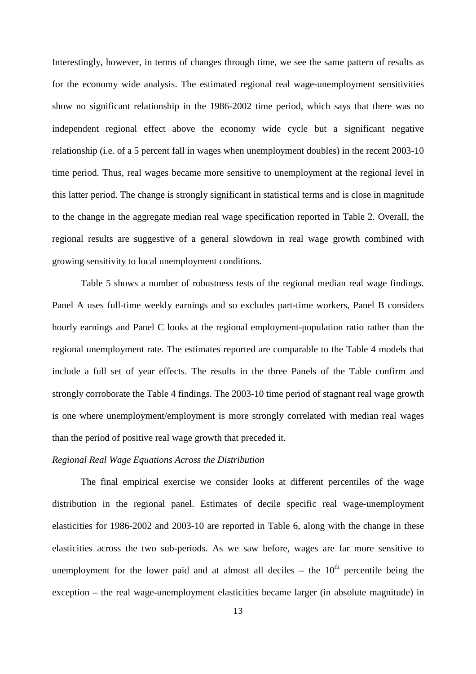Interestingly, however, in terms of changes through time, we see the same pattern of results as for the economy wide analysis. The estimated regional real wage-unemployment sensitivities show no significant relationship in the 1986-2002 time period, which says that there was no independent regional effect above the economy wide cycle but a significant negative relationship (i.e. of a 5 percent fall in wages when unemployment doubles) in the recent 2003-10 time period. Thus, real wages became more sensitive to unemployment at the regional level in this latter period. The change is strongly significant in statistical terms and is close in magnitude to the change in the aggregate median real wage specification reported in Table 2. Overall, the regional results are suggestive of a general slowdown in real wage growth combined with growing sensitivity to local unemployment conditions.

 Table 5 shows a number of robustness tests of the regional median real wage findings. Panel A uses full-time weekly earnings and so excludes part-time workers, Panel B considers hourly earnings and Panel C looks at the regional employment-population ratio rather than the regional unemployment rate. The estimates reported are comparable to the Table 4 models that include a full set of year effects. The results in the three Panels of the Table confirm and strongly corroborate the Table 4 findings. The 2003-10 time period of stagnant real wage growth is one where unemployment/employment is more strongly correlated with median real wages than the period of positive real wage growth that preceded it.

#### *Regional Real Wage Equations Across the Distribution*

The final empirical exercise we consider looks at different percentiles of the wage distribution in the regional panel. Estimates of decile specific real wage-unemployment elasticities for 1986-2002 and 2003-10 are reported in Table 6, along with the change in these elasticities across the two sub-periods. As we saw before, wages are far more sensitive to unemployment for the lower paid and at almost all deciles – the  $10<sup>th</sup>$  percentile being the exception – the real wage-unemployment elasticities became larger (in absolute magnitude) in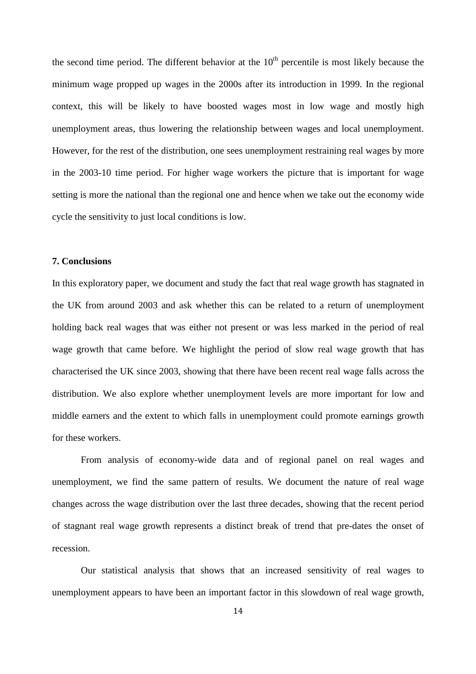the second time period. The different behavior at the  $10<sup>th</sup>$  percentile is most likely because the minimum wage propped up wages in the 2000s after its introduction in 1999. In the regional context, this will be likely to have boosted wages most in low wage and mostly high unemployment areas, thus lowering the relationship between wages and local unemployment. However, for the rest of the distribution, one sees unemployment restraining real wages by more in the 2003-10 time period. For higher wage workers the picture that is important for wage setting is more the national than the regional one and hence when we take out the economy wide cycle the sensitivity to just local conditions is low.

#### **7. Conclusions**

In this exploratory paper, we document and study the fact that real wage growth has stagnated in the UK from around 2003 and ask whether this can be related to a return of unemployment holding back real wages that was either not present or was less marked in the period of real wage growth that came before. We highlight the period of slow real wage growth that has characterised the UK since 2003, showing that there have been recent real wage falls across the distribution. We also explore whether unemployment levels are more important for low and middle earners and the extent to which falls in unemployment could promote earnings growth for these workers.

From analysis of economy-wide data and of regional panel on real wages and unemployment, we find the same pattern of results. We document the nature of real wage changes across the wage distribution over the last three decades, showing that the recent period of stagnant real wage growth represents a distinct break of trend that pre-dates the onset of recession.

Our statistical analysis that shows that an increased sensitivity of real wages to unemployment appears to have been an important factor in this slowdown of real wage growth,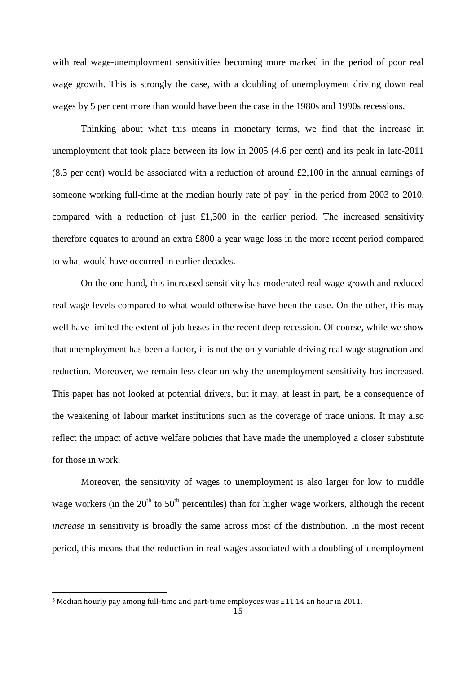with real wage-unemployment sensitivities becoming more marked in the period of poor real wage growth. This is strongly the case, with a doubling of unemployment driving down real wages by 5 per cent more than would have been the case in the 1980s and 1990s recessions.

Thinking about what this means in monetary terms, we find that the increase in unemployment that took place between its low in 2005 (4.6 per cent) and its peak in late-2011 (8.3 per cent) would be associated with a reduction of around £2,100 in the annual earnings of someone working full-time at the median hourly rate of pay<sup>5</sup> in the period from 2003 to 2010, compared with a reduction of just  $£1,300$  in the earlier period. The increased sensitivity therefore equates to around an extra £800 a year wage loss in the more recent period compared to what would have occurred in earlier decades.

On the one hand, this increased sensitivity has moderated real wage growth and reduced real wage levels compared to what would otherwise have been the case. On the other, this may well have limited the extent of job losses in the recent deep recession. Of course, while we show that unemployment has been a factor, it is not the only variable driving real wage stagnation and reduction. Moreover, we remain less clear on why the unemployment sensitivity has increased. This paper has not looked at potential drivers, but it may, at least in part, be a consequence of the weakening of labour market institutions such as the coverage of trade unions. It may also reflect the impact of active welfare policies that have made the unemployed a closer substitute for those in work.

Moreover, the sensitivity of wages to unemployment is also larger for low to middle wage workers (in the  $20<sup>th</sup>$  to  $50<sup>th</sup>$  percentiles) than for higher wage workers, although the recent *increase* in sensitivity is broadly the same across most of the distribution. In the most recent period, this means that the reduction in real wages associated with a doubling of unemployment

 $\overline{a}$ 

<sup>5</sup> Median hourly pay among full-time and part-time employees was £11.14 an hour in 2011.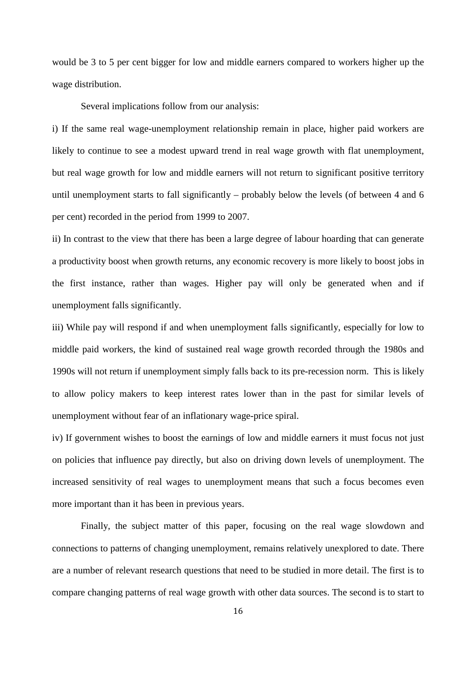would be 3 to 5 per cent bigger for low and middle earners compared to workers higher up the wage distribution.

Several implications follow from our analysis:

i) If the same real wage-unemployment relationship remain in place, higher paid workers are likely to continue to see a modest upward trend in real wage growth with flat unemployment, but real wage growth for low and middle earners will not return to significant positive territory until unemployment starts to fall significantly – probably below the levels (of between 4 and 6 per cent) recorded in the period from 1999 to 2007.

ii) In contrast to the view that there has been a large degree of labour hoarding that can generate a productivity boost when growth returns, any economic recovery is more likely to boost jobs in the first instance, rather than wages. Higher pay will only be generated when and if unemployment falls significantly.

iii) While pay will respond if and when unemployment falls significantly, especially for low to middle paid workers, the kind of sustained real wage growth recorded through the 1980s and 1990s will not return if unemployment simply falls back to its pre-recession norm. This is likely to allow policy makers to keep interest rates lower than in the past for similar levels of unemployment without fear of an inflationary wage-price spiral.

iv) If government wishes to boost the earnings of low and middle earners it must focus not just on policies that influence pay directly, but also on driving down levels of unemployment. The increased sensitivity of real wages to unemployment means that such a focus becomes even more important than it has been in previous years.

Finally, the subject matter of this paper, focusing on the real wage slowdown and connections to patterns of changing unemployment, remains relatively unexplored to date. There are a number of relevant research questions that need to be studied in more detail. The first is to compare changing patterns of real wage growth with other data sources. The second is to start to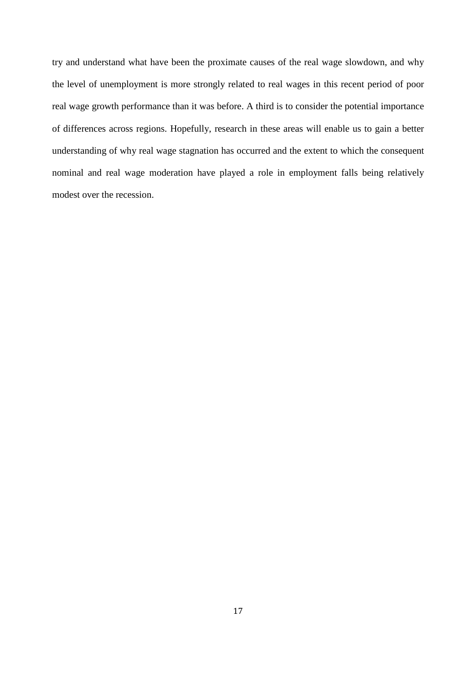try and understand what have been the proximate causes of the real wage slowdown, and why the level of unemployment is more strongly related to real wages in this recent period of poor real wage growth performance than it was before. A third is to consider the potential importance of differences across regions. Hopefully, research in these areas will enable us to gain a better understanding of why real wage stagnation has occurred and the extent to which the consequent nominal and real wage moderation have played a role in employment falls being relatively modest over the recession.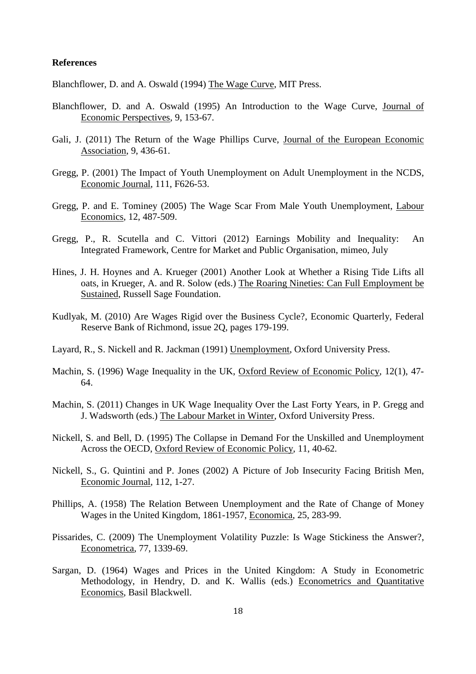#### **References**

Blanchflower, D. and A. Oswald (1994) The Wage Curve, MIT Press.

- Blanchflower, D. and A. Oswald (1995) An Introduction to the Wage Curve, Journal of Economic Perspectives, 9, 153-67.
- Gali, J. (2011) The Return of the Wage Phillips Curve, Journal of the European Economic Association, 9, 436-61.
- Gregg, P. (2001) The Impact of Youth Unemployment on Adult Unemployment in the NCDS, Economic Journal, 111, F626-53.
- Gregg, P. and E. Tominey (2005) The Wage Scar From Male Youth Unemployment, Labour Economics, 12, 487-509.
- Gregg, P., R. Scutella and C. Vittori (2012) Earnings Mobility and Inequality: An Integrated Framework, Centre for Market and Public Organisation, mimeo, July
- Hines, J. H. Hoynes and A. Krueger (2001) Another Look at Whether a Rising Tide Lifts all oats, in Krueger, A. and R. Solow (eds.) The Roaring Nineties: Can Full Employment be Sustained, Russell Sage Foundation.
- Kudlyak, M. (2010) Are Wages Rigid over the Business Cycle?, Economic Quarterly, Federal Reserve Bank of Richmond, issue 2Q, pages 179-199.
- Layard, R., S. Nickell and R. Jackman (1991) Unemployment, Oxford University Press.
- Machin, S. (1996) Wage Inequality in the UK, Oxford Review of Economic Policy, 12(1), 47-64.
- Machin, S. (2011) Changes in UK Wage Inequality Over the Last Forty Years, in P. Gregg and J. Wadsworth (eds.) The Labour Market in Winter, Oxford University Press.
- Nickell, S. and Bell, D. (1995) The Collapse in Demand For the Unskilled and Unemployment Across the OECD, Oxford Review of Economic Policy, 11, 40-62.
- Nickell, S., G. Quintini and P. Jones (2002) A Picture of Job Insecurity Facing British Men, Economic Journal, 112, 1-27.
- Phillips, A. (1958) The Relation Between Unemployment and the Rate of Change of Money Wages in the United Kingdom, 1861-1957, Economica, 25, 283-99.
- Pissarides, C. (2009) The Unemployment Volatility Puzzle: Is Wage Stickiness the Answer?, Econometrica, 77, 1339-69.
- Sargan, D. (1964) Wages and Prices in the United Kingdom: A Study in Econometric Methodology, in Hendry, D. and K. Wallis (eds.) Econometrics and Quantitative Economics, Basil Blackwell.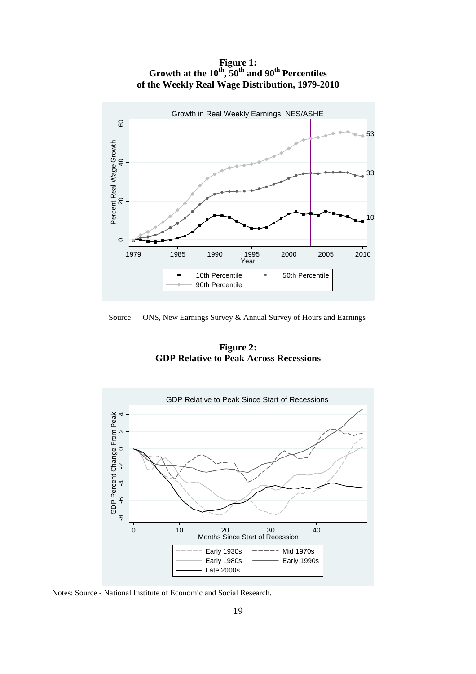**Figure 1: Growth at the 10th, 50th and 90th Percentiles of the Weekly Real Wage Distribution, 1979-2010** 



Source: ONS, New Earnings Survey & Annual Survey of Hours and Earnings

**Figure 2: GDP Relative to Peak Across Recessions** 



Notes: Source - National Institute of Economic and Social Research.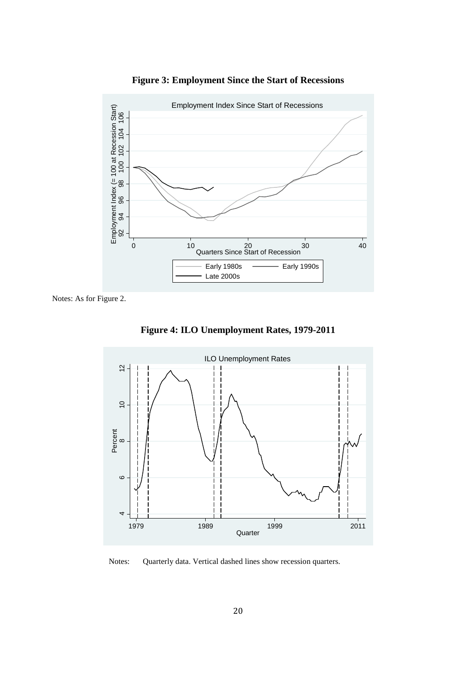

**Figure 3: Employment Since the Start of Recessions** 

Notes: As for Figure 2.

**Figure 4: ILO Unemployment Rates, 1979-2011** 



Notes: Quarterly data. Vertical dashed lines show recession quarters.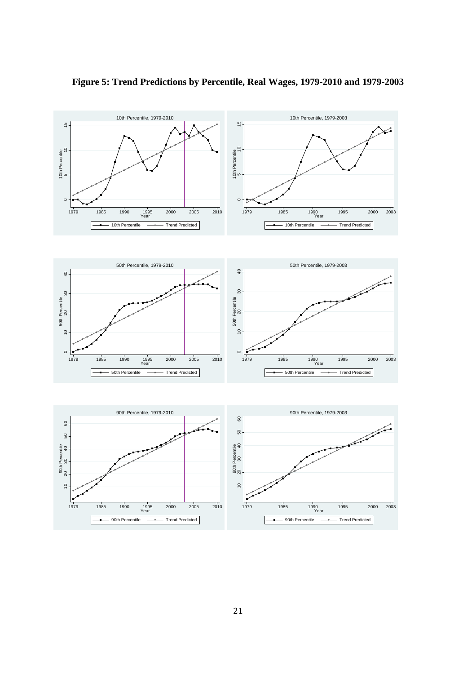

**Figure 5: Trend Predictions by Percentile, Real Wages, 1979-2010 and 1979-2003**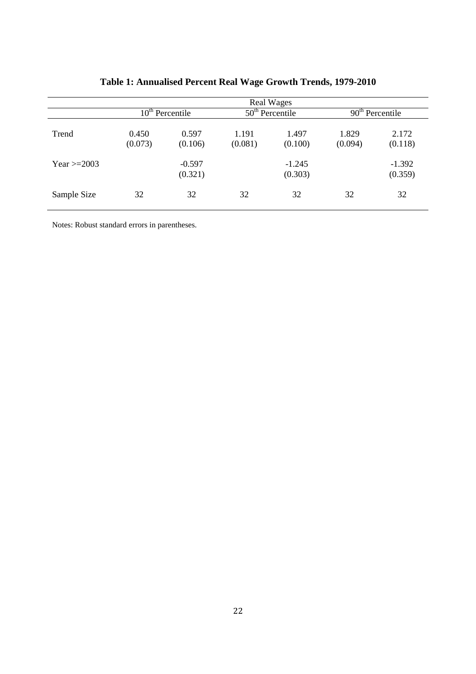|                  | <b>Real Wages</b> |                     |                   |                     |                   |                     |
|------------------|-------------------|---------------------|-------------------|---------------------|-------------------|---------------------|
|                  | $10th$ Percentile |                     | $50th$ Percentile |                     | $90th$ Percentile |                     |
| Trend            | 0.450<br>(0.073)  | 0.597<br>(0.106)    | 1.191<br>(0.081)  | 1.497<br>(0.100)    | 1.829<br>(0.094)  | 2.172<br>(0.118)    |
| Year $\geq$ 2003 |                   | $-0.597$<br>(0.321) |                   | $-1.245$<br>(0.303) |                   | $-1.392$<br>(0.359) |
| Sample Size      | 32                | 32                  | 32                | 32                  | 32                | 32                  |

# **Table 1: Annualised Percent Real Wage Growth Trends, 1979-2010**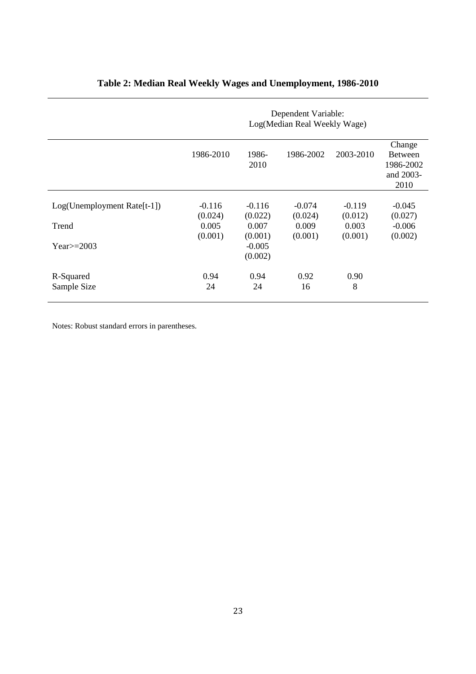|                             | Dependent Variable:<br>Log(Median Real Weekly Wage) |                     |           |           |                                                            |
|-----------------------------|-----------------------------------------------------|---------------------|-----------|-----------|------------------------------------------------------------|
|                             | 1986-2010                                           | 1986-<br>2010       | 1986-2002 | 2003-2010 | Change<br><b>Between</b><br>1986-2002<br>and 2003-<br>2010 |
| Log(Unemployment Rate[t-1]) | $-0.116$                                            | $-0.116$            | $-0.074$  | $-0.119$  | $-0.045$                                                   |
|                             | (0.024)                                             | (0.022)             | (0.024)   | (0.012)   | (0.027)                                                    |
| Trend                       | 0.005                                               | 0.007               | 0.009     | 0.003     | $-0.006$                                                   |
|                             | (0.001)                                             | (0.001)             | (0.001)   | (0.001)   | (0.002)                                                    |
| $Year \ge 2003$             |                                                     | $-0.005$<br>(0.002) |           |           |                                                            |
| R-Squared                   | 0.94                                                | 0.94                | 0.92      | 0.90      |                                                            |
| Sample Size                 | 24                                                  | 24                  | 16        | 8         |                                                            |

# **Table 2: Median Real Weekly Wages and Unemployment, 1986-2010**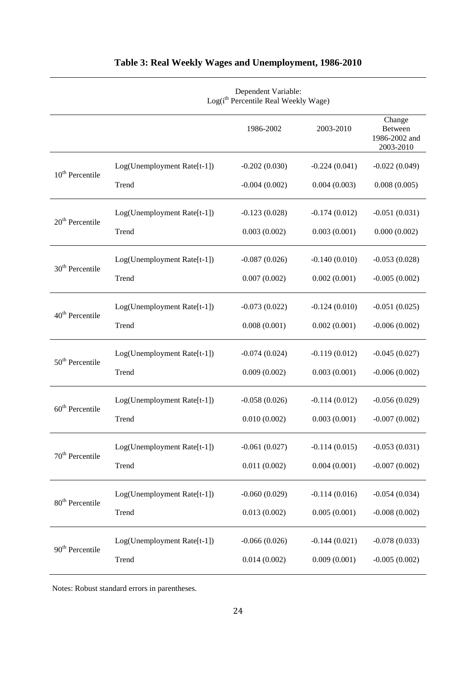|                             | Dependent Variable:<br>Log(i <sup>th</sup> Percentile Real Weekly Wage) |                 |                 |                                                        |
|-----------------------------|-------------------------------------------------------------------------|-----------------|-----------------|--------------------------------------------------------|
|                             |                                                                         | 1986-2002       | 2003-2010       | Change<br><b>Between</b><br>1986-2002 and<br>2003-2010 |
| $10th$ Percentile           | Log(Unemployment Rate[t-1])                                             | $-0.202(0.030)$ | $-0.224(0.041)$ | $-0.022(0.049)$                                        |
|                             | Trend                                                                   | $-0.004(0.002)$ | 0.004(0.003)    | 0.008(0.005)                                           |
| $20th$ Percentile           | Log(Unemployment Rate[t-1])                                             | $-0.123(0.028)$ | $-0.174(0.012)$ | $-0.051(0.031)$                                        |
|                             | Trend                                                                   | 0.003(0.002)    | 0.003(0.001)    | 0.000(0.002)                                           |
| 30 <sup>th</sup> Percentile | Log(Unemployment Rate[t-1])                                             | $-0.087(0.026)$ | $-0.140(0.010)$ | $-0.053(0.028)$                                        |
|                             | Trend                                                                   | 0.007(0.002)    | 0.002(0.001)    | $-0.005(0.002)$                                        |
| $40th$ Percentile           | Log(Unemployment Rate[t-1])                                             | $-0.073(0.022)$ | $-0.124(0.010)$ | $-0.051(0.025)$                                        |
|                             | Trend                                                                   | 0.008(0.001)    | 0.002(0.001)    | $-0.006(0.002)$                                        |
| 50 <sup>th</sup> Percentile | Log(Unemployment Rate[t-1])                                             | $-0.074(0.024)$ | $-0.119(0.012)$ | $-0.045(0.027)$                                        |
|                             | Trend                                                                   | 0.009(0.002)    | 0.003(0.001)    | $-0.006(0.002)$                                        |
| $60th$ Percentile           | Log(Unemployment Rate[t-1])                                             | $-0.058(0.026)$ | $-0.114(0.012)$ | $-0.056(0.029)$                                        |
|                             | Trend                                                                   | 0.010(0.002)    | 0.003(0.001)    | $-0.007(0.002)$                                        |
| 70 <sup>th</sup> Percentile | Log(Unemployment Rate[t-1])                                             | $-0.061(0.027)$ | $-0.114(0.015)$ | $-0.053(0.031)$                                        |
|                             | Trend                                                                   | 0.011(0.002)    | 0.004(0.001)    | $-0.007(0.002)$                                        |
| 80 <sup>th</sup> Percentile | Log(Unemployment Rate[t-1])                                             | $-0.060(0.029)$ | $-0.114(0.016)$ | $-0.054(0.034)$                                        |
|                             | Trend                                                                   | 0.013(0.002)    | 0.005(0.001)    | $-0.008(0.002)$                                        |
| 90 <sup>th</sup> Percentile | Log(Unemployment Rate[t-1])                                             | $-0.066(0.026)$ | $-0.144(0.021)$ | $-0.078(0.033)$                                        |
|                             | Trend                                                                   | 0.014(0.002)    | 0.009(0.001)    | $-0.005(0.002)$                                        |

# **Table 3: Real Weekly Wages and Unemployment, 1986-2010**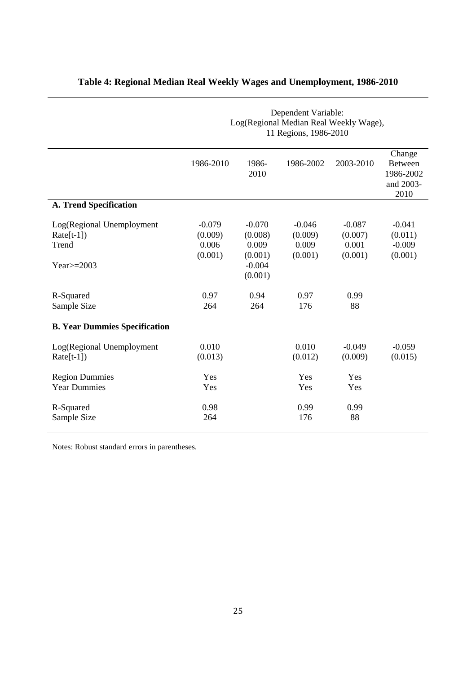|                                                    | Dependent Variable:<br>Log(Regional Median Real Weekly Wage),<br>11 Regions, 1986-2010 |                                         |                                         |                                         |                                                            |
|----------------------------------------------------|----------------------------------------------------------------------------------------|-----------------------------------------|-----------------------------------------|-----------------------------------------|------------------------------------------------------------|
|                                                    | 1986-2010                                                                              | 1986-<br>2010                           | 1986-2002                               | 2003-2010                               | Change<br><b>Between</b><br>1986-2002<br>and 2003-<br>2010 |
| <b>A. Trend Specification</b>                      |                                                                                        |                                         |                                         |                                         |                                                            |
| Log(Regional Unemployment<br>$Rate[t-1])$<br>Trend | $-0.079$<br>(0.009)<br>0.006<br>(0.001)                                                | $-0.070$<br>(0.008)<br>0.009<br>(0.001) | $-0.046$<br>(0.009)<br>0.009<br>(0.001) | $-0.087$<br>(0.007)<br>0.001<br>(0.001) | $-0.041$<br>(0.011)<br>$-0.009$<br>(0.001)                 |
| Year $\ge$ =2003                                   |                                                                                        | $-0.004$<br>(0.001)                     |                                         |                                         |                                                            |
| R-Squared<br>Sample Size                           | 0.97<br>264                                                                            | 0.94<br>264                             | 0.97<br>176                             | 0.99<br>88                              |                                                            |
| <b>B. Year Dummies Specification</b>               |                                                                                        |                                         |                                         |                                         |                                                            |
| Log(Regional Unemployment<br>$Rate[t-1])$          | 0.010<br>(0.013)                                                                       |                                         | 0.010<br>(0.012)                        | $-0.049$<br>(0.009)                     | $-0.059$<br>(0.015)                                        |
| <b>Region Dummies</b><br><b>Year Dummies</b>       | Yes<br>Yes                                                                             |                                         | Yes<br>Yes                              | Yes<br>Yes                              |                                                            |
| R-Squared<br>Sample Size                           | 0.98<br>264                                                                            |                                         | 0.99<br>176                             | 0.99<br>88                              |                                                            |

# **Table 4: Regional Median Real Weekly Wages and Unemployment, 1986-2010**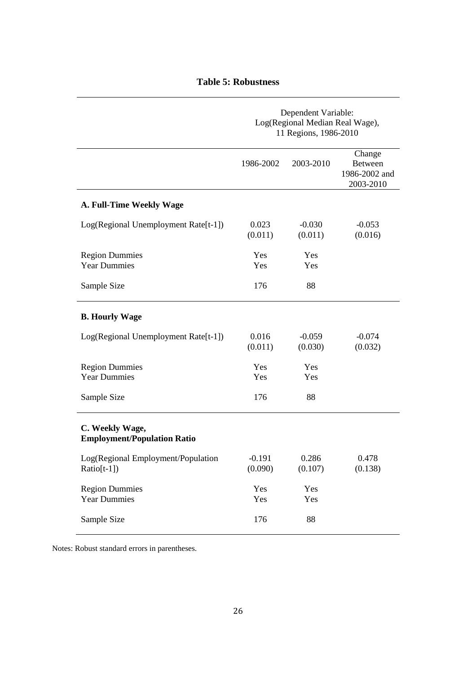## **Table 5: Robustness**

|                                                       | Dependent Variable:<br>Log(Regional Median Real Wage),<br>11 Regions, 1986-2010 |                     |                                                        |  |
|-------------------------------------------------------|---------------------------------------------------------------------------------|---------------------|--------------------------------------------------------|--|
|                                                       | 1986-2002                                                                       | 2003-2010           | Change<br><b>Between</b><br>1986-2002 and<br>2003-2010 |  |
| A. Full-Time Weekly Wage                              |                                                                                 |                     |                                                        |  |
| Log(Regional Unemployment Rate[t-1])                  | 0.023<br>(0.011)                                                                | $-0.030$<br>(0.011) | $-0.053$<br>(0.016)                                    |  |
| <b>Region Dummies</b><br><b>Year Dummies</b>          | Yes<br>Yes                                                                      | Yes<br>Yes          |                                                        |  |
| Sample Size                                           | 176                                                                             | 88                  |                                                        |  |
| <b>B. Hourly Wage</b>                                 |                                                                                 |                     |                                                        |  |
| Log(Regional Unemployment Rate[t-1])                  | 0.016<br>(0.011)                                                                | $-0.059$<br>(0.030) | $-0.074$<br>(0.032)                                    |  |
| <b>Region Dummies</b><br><b>Year Dummies</b>          | Yes<br>Yes                                                                      | Yes<br>Yes          |                                                        |  |
| Sample Size                                           | 176                                                                             | 88                  |                                                        |  |
| C. Weekly Wage,<br><b>Employment/Population Ratio</b> |                                                                                 |                     |                                                        |  |
| Log(Regional Employment/Population<br>$Ratio[t-1])$   | $-0.191$<br>(0.090)                                                             | 0.286<br>(0.107)    | 0.478<br>(0.138)                                       |  |
| <b>Region Dummies</b><br><b>Year Dummies</b>          | Yes<br>Yes                                                                      | Yes<br>Yes          |                                                        |  |
| Sample Size                                           | 176                                                                             | 88                  |                                                        |  |